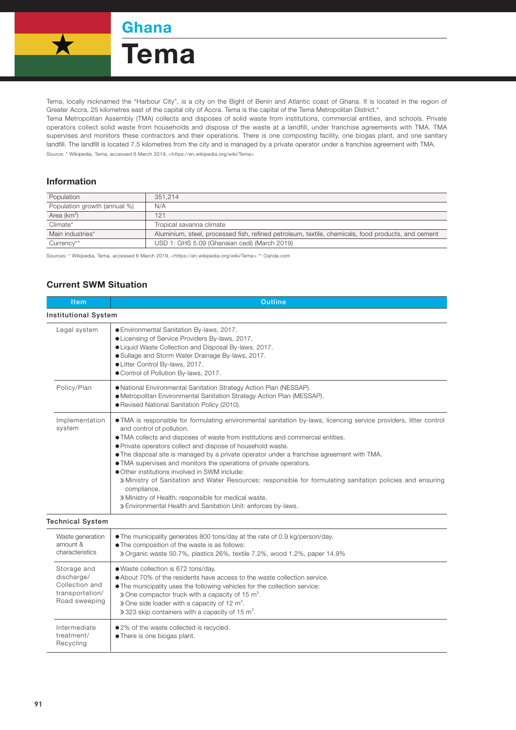**Ghana** 

Tema



Tema, locally nicknamed the "Harbour City", is a city on the Bight of Benin and Atlantic coast of Ghana. It is located in the region of Greater Accra, 25 kilometres east of the capital city of Accra. Tema is the capital of the Tema Metropolitan District.\*

Tema Metropolitan Assembly (TMA) collects and disposes of solid waste from institutions, commercial entities, and schools. Private operators collect solid waste from households and dispose of the waste at a landfill, under franchise agreements with TMA. TMA supervises and monitors these contractors and their operations. There is one composting facility, one biogas plant, and one sanitary landfill. The landfill is located 7.5 kilometres from the city and is managed by a private operator under a franchise agreement with TMA. Source: \* Wikipedia, Tema, accessed 6 March 2019, <https://en.wikipedia.org/wiki/Tema>

## Information

| Population                   | 351.214                                                                                            |  |
|------------------------------|----------------------------------------------------------------------------------------------------|--|
| Population growth (annual %) | N/A                                                                                                |  |
| Area ( $km^2$ )              | 121                                                                                                |  |
| Climate*                     | Tropical savanna climate                                                                           |  |
| Main industries*             | Aluminium, steel, processed fish, refined petroleum, textile, chemicals, food products, and cement |  |
| Currency**                   | USD 1: GHS 5.09 (Ghanaian cedi) (March 2019)                                                       |  |

Sources: \* Wikipedia, Tema, accessed 6 March 2019, <https://en.wikipedia.org/wiki/Tema> \*\* Oanda.com

## Current SWM Situation

| Item                                                                            | <b>Outline</b>                                                                                                                                                                                                                                                                                                                                                                                                                                                                                                                                                                                                                                                                                                                                                               |  |  |  |
|---------------------------------------------------------------------------------|------------------------------------------------------------------------------------------------------------------------------------------------------------------------------------------------------------------------------------------------------------------------------------------------------------------------------------------------------------------------------------------------------------------------------------------------------------------------------------------------------------------------------------------------------------------------------------------------------------------------------------------------------------------------------------------------------------------------------------------------------------------------------|--|--|--|
| <b>Institutional System</b>                                                     |                                                                                                                                                                                                                                                                                                                                                                                                                                                                                                                                                                                                                                                                                                                                                                              |  |  |  |
| Legal system                                                                    | ● Environmental Sanitation By-laws, 2017.<br>• Licensing of Service Providers By-laws, 2017.<br>• Liquid Waste Collection and Disposal By-laws, 2017.<br>• Sullage and Storm Water Drainage By-laws, 2017.<br>• Litter Control By-laws, 2017.<br>● Control of Pollution By-laws, 2017.                                                                                                                                                                                                                                                                                                                                                                                                                                                                                       |  |  |  |
| Policy/Plan                                                                     | . National Environmental Sanitation Strategy Action Plan (NESSAP).<br>· Metropolitan Environmental Sanitation Strategy Action Plan (MESSAP).<br>● Revised National Sanitation Policy (2010).                                                                                                                                                                                                                                                                                                                                                                                                                                                                                                                                                                                 |  |  |  |
| Implementation<br>system                                                        | . TMA is responsible for formulating environmental sanitation by-laws, licencing service providers, litter control<br>and control of pollution.<br>. TMA collects and disposes of waste from institutions and commercial entities.<br>• Private operators collect and dispose of household waste.<br>. The disposal site is managed by a private operator under a franchise agreement with TMA.<br>. TMA supervises and monitors the operations of private operators.<br>• Other institutions involved in SWM include:<br>» Ministry of Sanitation and Water Resources: responsible for formulating sanitation policies and ensuring<br>compliance.<br>» Ministry of Health: responsible for medical waste.<br>» Environmental Health and Sanitation Unit: enforces by-laws. |  |  |  |
| <b>Technical System</b>                                                         |                                                                                                                                                                                                                                                                                                                                                                                                                                                                                                                                                                                                                                                                                                                                                                              |  |  |  |
| Waste generation<br>amount &<br>characteristics                                 | . The municipality generates 800 tons/day at the rate of 0.9 kg/person/day.<br>• The composition of the waste is as follows:<br>» Organic waste 50.7%, plastics 26%, textile 7.2%, wood 1.2%, paper 14.9%                                                                                                                                                                                                                                                                                                                                                                                                                                                                                                                                                                    |  |  |  |
| Storage and<br>discharge/<br>Collection and<br>transportation/<br>Road sweeping | ● Waste collection is 672 tons/day.<br>• About 70% of the residents have access to the waste collection service.<br>• The municipality uses the following vehicles for the collection service:<br>$\gg$ One compactor truck with a capacity of 15 m <sup>3</sup> .<br>$\gg$ One side loader with a capacity of 12 m <sup>3</sup> .<br>$\gg$ 323 skip containers with a capacity of 15 m <sup>3</sup> .                                                                                                                                                                                                                                                                                                                                                                       |  |  |  |
| Intermediate<br>treatment/<br>Recycling                                         | ● 2% of the waste collected is recycled.<br>• There is one biogas plant.                                                                                                                                                                                                                                                                                                                                                                                                                                                                                                                                                                                                                                                                                                     |  |  |  |